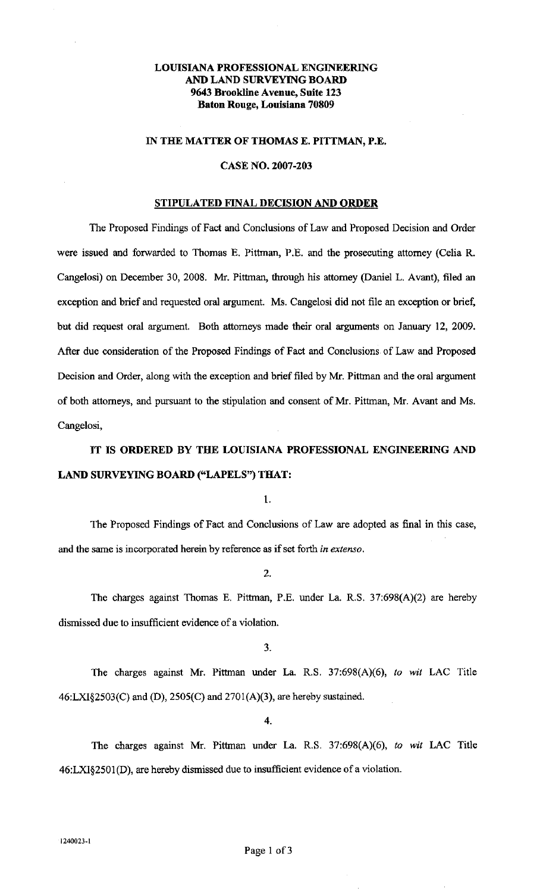# LOUISIANA PROFESSIONAL ENGINEERING AND LAND SURVEYING BOARD 9643 Brookline Avenue, Suite 123 Baton Rouge, Louisiana 70809

## IN THE MATTER OF THOMAS E. PITTMAN, P.E.

## CASE NO. 2007-203

## STIPULATED FINAL DECISION AND ORDER

The Proposed Findings of Fact and Conclusions of Law and Proposed Decision and Order were issued and forwarded to Thomas E. Pittman, P.E. and the prosecuting attorney (Celia R. Cangelosi) on December 30, 2008. Mr. Pittman, through his attorney (Daniel L. Avant), filed an exception and brief and requested oral argument. Ms. Cangelosi did not file an exception or brief, but did request oral argument. Both attorneys made their oral arguments on January 12, 2009. After due consideration of the Proposed Findings of Fact and Conclusions of Law and Proposed Decision and Order, along with the exception and brief filed by Mr. Pittman and the oral argument of both attorneys, and pursuant to the stipulation and consent of Mr. Pittman, Mr. Avant and Ms. Cangelosi,

IT IS ORDERED BY THE LOUISIANA PROFESSIONAL ENGINEERING AND LAND SURVEYING BOARD ("LAPELS") THAT:

1.

The Proposed Findings of Fact and Conclusions of Law are adopted as final in this case, and the same is incorporated herein by reference as if set forth in *extenso.* 

2.

The charges against Thomas E. Pittman, P.E. under La. R.S. 37:698(A)(2) are hereby dismissed due to insufficient evidence of a violation.

3.

The charges against Mr. Pittman under La. R.S. 37:698(A)(6), *to wit* LAC Title 46:LXI§2503(C) and (D), 2505(C) and 270l(A)(3), are hereby sustained.

4.

The charges against Mr. Pittman under La. R.S. 37:698(A)(6), *to wit* LAC Title 46:LXI§2501 (D), are hereby dismissed due to insufficient evidence of a violation.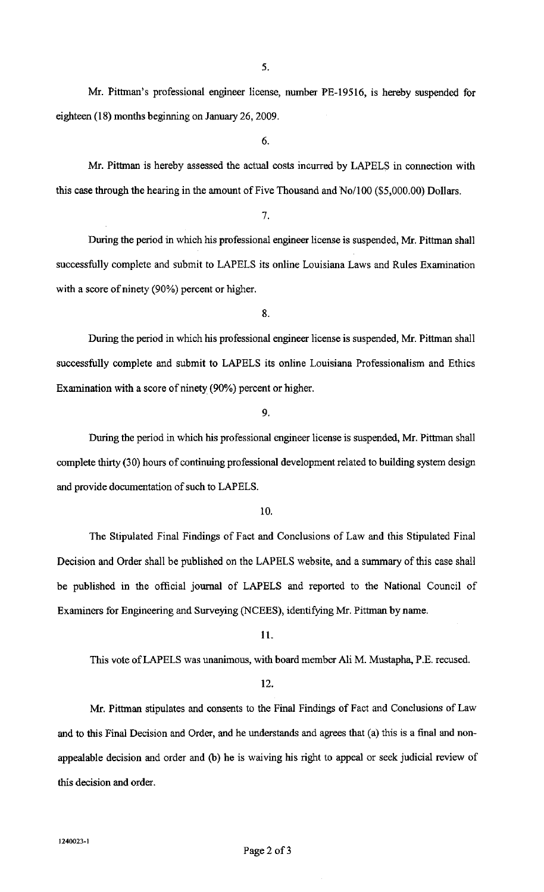Mr. Pittman's professional engineer license, number PE-19516, is hereby suspended for eighteen (18) months beginning on January 26, 2009.

6.

Mr. Pittman is hereby assessed the actual costs incurred by LAPELS in connection with this case through the hearing in the amount of Five Thousand and No/100 (\$5,000.00) Dollars.

7.

During the period in which his professional engineer license is suspended, Mr. Pittman shall successfully complete and submit to LAPELS its online Louisiana Laws and Rules Examination with a score of ninety (90%) percent or higher.

8.

During the period in which his professional engineer license is suspended, Mr. Pittman shall successfully complete and submit to LAPELS its online Louisiana Professionalism and Ethics Examination with a score of ninety (90%) percent or higher.

9.

During the period in which his professional engineer license is suspended, Mr. Pittman shall complete thirty (30) hours of continuing professional development related to building system design and provide documentation of such to LAPELS.

#### 10.

The Stipulated Final Findings of Fact and Conclusions of Law and this Stipulated Final Decision and Order shall be published on the LAPELS website, and a summary of this case shall be published in the official journal of LAPELS and reported to the National Council of Examiners for Engineering and Surveying (NCEES), identifying Mr. Pittman by name.

11.

This vote of LAPELS was unanimous, with board member Ali M. Mustapha, P.E. recused.

## 12.

Mr. Pittman stipulates and consents to the Final Findings of Fact and Conclusions of Law and to this Final Decision and Order, and he understands and agrees that (a) this is a final and nonappealable decision and order and (b) he is waiving his right to appeal or seek judicial review of this decision and order.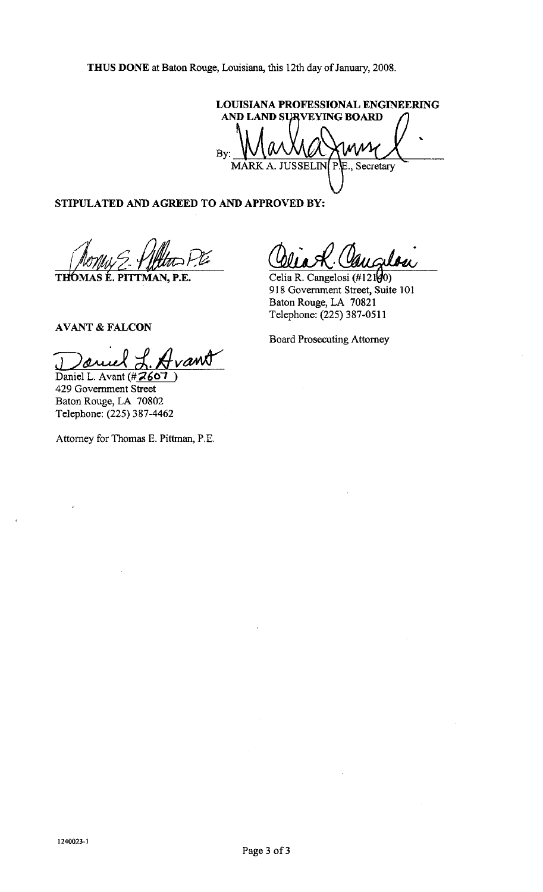LOUISIANA PROFESSIONAL ENGINEERING AND LAND SURVEYING BOARD By: MARK A. JUSSELIN  $\overline{P}$ E., Secretary

# **STIPULATED AND AGREED TO AND APPROVED BY:**

THOMA ~/1!4eRJ **MAS E. PITIMAN, P.E.** 

Celia R. Cangelosi  $(\text{\#121}\vert \mathcal{Y}0)$ 918 Government Street, Suite 101 Baton Rouge, LA 70821 Telephone: (225) 387-0511

**AVANT&FALCON** 

Daniel L. Avant (#**2607** 429 Government Street Baton Rouge, LA 70802 Telephone: (225) 387-4462

Attorney for Thomas E. Pittman, P.E.

Board Prosecuting Attorney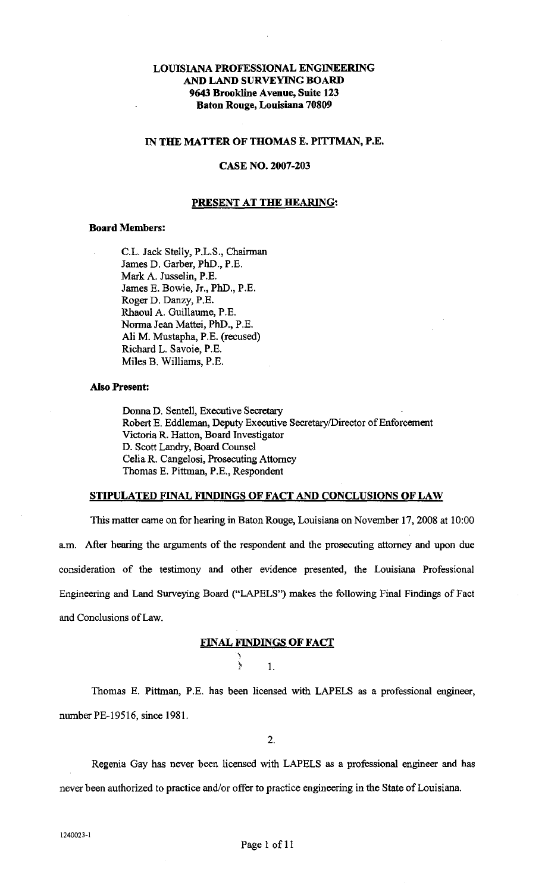# LOUISIANA PROFESSIONAL ENGINEERING AND LAND SURVEYING BOARD 9643 Brookline Avenue, Suite 123 Baton Rouge, Louisiana 70809

### IN THE MATTER OF THOMAS E. PITTMAN, P.E.

## CASE NO. 2007-203

#### PRESENT AT THE HEARING:

## Board Members:

C.L. Jack Stelly, P.L.S., Chairman James D. Garber, PhD., P.E. Mark A. Jusselin, P.E. James E. Bowie, Jr., PhD., P.E. Roger D. Danzy, P.E. Rhaoul A. Guillaume, P.E. Norma Jean Mattei, PhD., P.E. Ali M. Mustapha, P.E. (recused) Richard L. Savoie, P.E. Miles B. Williams, P.E.

#### Also Present:

Donna D. Sentell, Executive Secretary Robert E. Eddleman, Deputy Executive Secretary/Director of Enforcement Victoria R. Hatton, Board Investigator D. Scott Landry, Board Counsel Celia R. Cangelosi, Prosecuting Attorney Thomas E. Pittman, P.E., Respondent

### STIPULATED FINAL FINDINGS OF FACT AND CONCLUSIONS OF LAW

This matter came on for hearing in Baton Rouge, Louisiana on November 17,2008 at 10:00 am. After hearing the arguments of the respondent and the prosecuting attorney and upon due consideration of the testimony and other evidence presented, the Louisiana Professional Engineering and Land Surveying Board ("LAPELS") makes the following Final Findings of Fact and Conclusions of Law.

## FINAL FINDINGS OF FACT

} 1.

\

Thomas E. Pittman, P.E. has been licensed with LAPELS as a professional engineer, number PE-19516, since 1981.

2.

Regenia Gay has never been licensed with LAPELS as a professional engineer and has never been authorized to practice and/or offer to practice engineering in the State of Louisiana.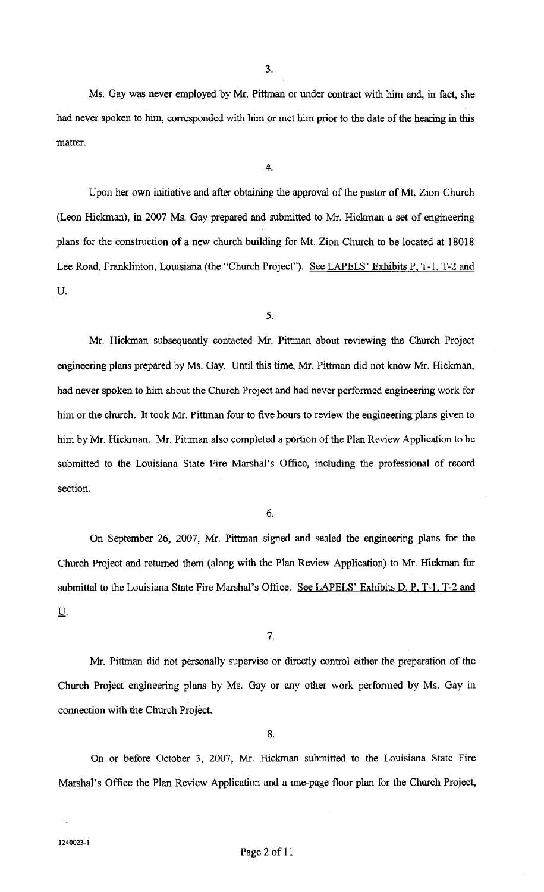3.

Ms. Gay was never employed by Mr. Pittman or under contract with him and, in fact, she had never spoken to him, corresponded with him or met him prior to the date of the hearing in this matter.

4.

Upon her own initiative and after obtaining the approval of the pastor of Mt. Zion Church (Leon Hickman), in 2007 Ms. Gay prepared and submitted to Mr. Hickman a set of engineering plans for the construction of a new church building for Mt. Zion Church to be located at 18018 Lee Road, Franklinton, Louisiana (the "Church Project"). See LAPELS' Exhibits P. T-1. T-2 and u.

5.

Mr. Hickman subsequently contacted Mr. Pittman about reviewing the Church Project engineering plans prepared by Ms. Gay. Until this time, Mr. Pittman did not know Mr. Hickman, had never spoken to him about the Church Project and had never performed engineering work for him or the church. It took Mr. Pittman four to five hours to review the engineering plans given to him by Mr. Hickman. Mr. Pittman also completed a portion of the Plan Review Application to be submitted to the Louisiana State Fire Marshal's Office, including the professional of record section.

6.

On September 26, 2007, Mr. Pittman signed and sealed the engineering plans for the Church Project and returned them (along with the Plan Review Application) to Mr. Hickman for submittal to the Louisiana State Fire Marshal's Office. See LAPELS' Exhibits D, P, T-1, T-2 and U.

7.

Mr. Pittman did not personally supervise or directly control either the preparation of the Church Project engineering plans by Ms. Gay or any other work performed by Ms. Gay in connection with the Church Project.

8.

On or before October 3, 2007, Mr. Hickman submitted to the Louisiana State Fire Marshal's Office the Plan Review Application and a one-page floor plan for the Church Project,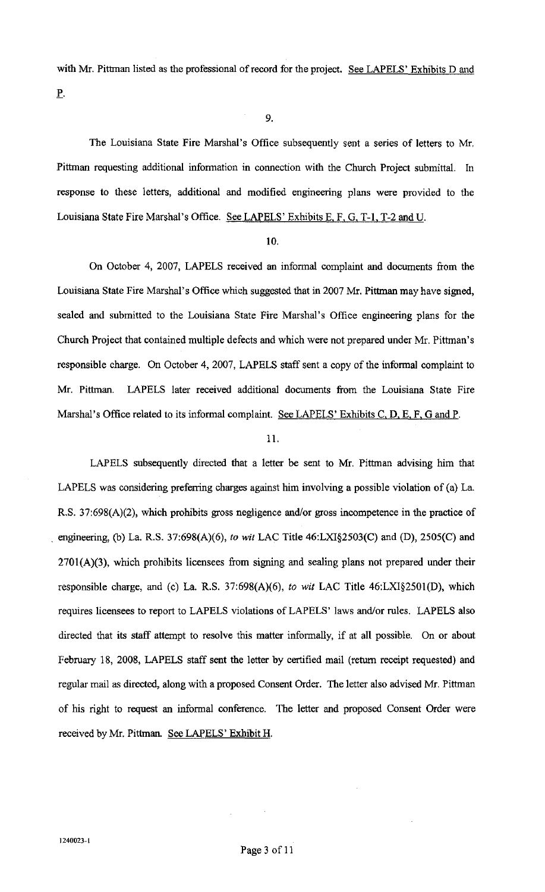with Mr. Pittman listed as the professional of record for the project. See LAPELS' Exhibits D and

\_e.

9.

The Louisiana State Fire Marshal's Office subsequently sent a series of letters to Mr. Pittman requesting additional information in connection with the Church Project submittal. In response to these letters, additional and modified engineering plans were provided to the Louisiana State Fire Marshal's Office. See LAPELS' Exhibits E. F. G. T-1, T-2 and U.

### 10.

On October 4, 2007, LAPELS received an informal complaint and documents from the Louisiana State Fire Marshal's Office which suggested that in 2007 Mr. Pittman may have signed, sealed and submitted to the Louisiana State Fire Marshal's Office engineering plans for the Church Project that contained multiple defects and which were not prepared under Mr. Pittman's responsible charge. On October 4, 2007, LAPELS staff sent a copy of the informal complaint to Mr. Pittman. LAPELS later received additional documents from the Louisiana State Fire Marshal's Office related to its informal complaint. See LAPELS' Exhibits C, D, E, F, G and P.

### 11.

LAPELS subsequently directed that a letter be sent to Mr. Pittman advising him that LAPELS was considering preferring charges against him involving a possible violation of (a) La. R.S. 37:698(A)(2), which prohibits gross negligence and/or gross incompetence in the practice of . engineering, (b) La. R.S. 37:698(A)(6), *to wit* LAC Title 46:LXI§2503(C) and (D), 2505(C) and  $2701(A)(3)$ , which prohibits licensees from signing and sealing plans not prepared under their responsible charge, and (c) La. R.S. 37:698(A)(6), *to wit* LAC Title 46:LXI§2501(D), which requires licensees to report to LAPELS violations of LAPELS' laws and/or rules. LAPELS also directed that its staff attempt to resolve this matter informally, if at all possible. On or about February 18, 2008, LAPELS staff sent the letter by certified mail (return receipt requested) and regular mail as directed, along with a proposed Consent Order. The letter also advised Mr. Pittman of his right to request an informal conference. The letter and proposed Consent Order were received by Mr. Pittman. See LAPELS' Exhibit H.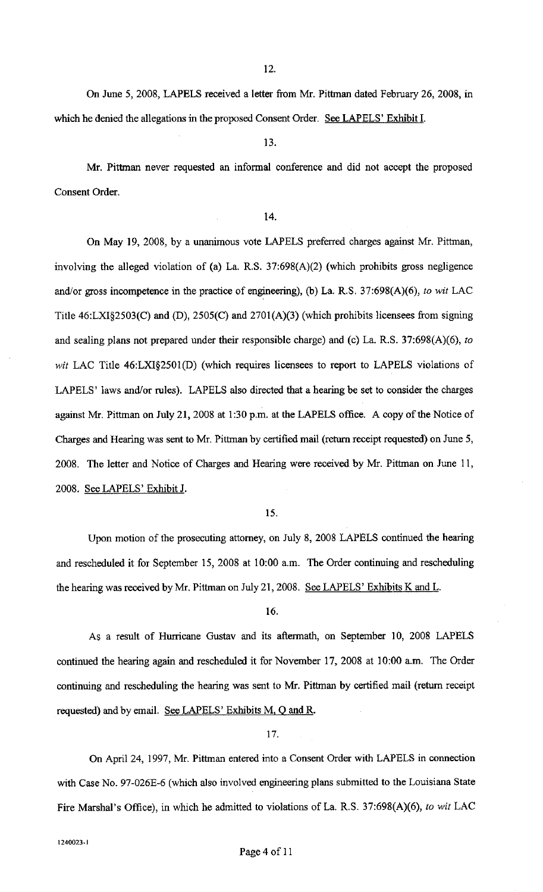12.

On June 5, 2008, LAPELS received a letter from Mr. Pittman dated February 26, 2008, in which he denied the allegations in the proposed Consent Order. See LAPELS' Exhibit I.

#### 13.

Mr. Pittman never requested an informal conference and did not accept the proposed Consent Order.

## 14.

On May 19, 2008, by a unanimous vote LAPELS preferred charges against Mr. Pittman, involving the alleged violation of (a) La. R.S. 37:698(A)(2) (which prohibits gross negligence and/or gross incompetence in the practice of engineering), (b) La. R.S. 37:698(A)(6), *to wit* LAC Title  $46: LXI§2503(C)$  and  $(D)$ ,  $2505(C)$  and  $2701(A)(3)$  (which prohibits licensees from signing and sealing plans not prepared under their responsible charge) and (c) La. R.S. 37:698(A)(6), *to wit* LAC Title 46:LXI§2501(D) (which requires licensees to report to LAPELS violations of LAPELS' laws and/or rules). LAPELS also directed that a hearing be set to consider the charges against Mr. Pittman on July 21, 2008 at 1:30 p.m. at the LAPELS office. A copy of the Notice of Charges and Hearing was sent to Mr. Pittman by certified mail (return receipt requested) on June 5, 2008. The letter and Notice of Charges and Hearing were received by Mr. Pittman on June 11, 2008. See LAPELS' Exhibit J.

#### 15.

Upon motion of the prosecuting attorney, on July 8, 2008 LAPELS continued the hearing and rescheduled it for September 15, 2008 at 10:00 a.m. The Order continuing and rescheduling the hearing was received by Mr. Pittman on July 21, 2008. See LAPELS' Exhibits K and L.

16.

As a result of Hurricane Gustav and its aftermath, on September 10, 2008 LAPELS continued the hearing again and rescheduled it for November 17, 2008 at 10:00 a.m. The Order continuing and rescheduling the hearing was sent to Mr. Pittman by certified mail (return receipt requested) and by email. See LAPELS' Exhibits M, Q and R.

#### 17.

On Apri124, 1997, Mr. Pittman entered into a Consent Order with LAPELS in connection with Case No. 97-026E-6 (which also involved engineering plans submitted to the Louisiana State Fire Marshal's Office), in which he admitted to violations of La. R.S. 37:698(A)(6), *to wit* LAC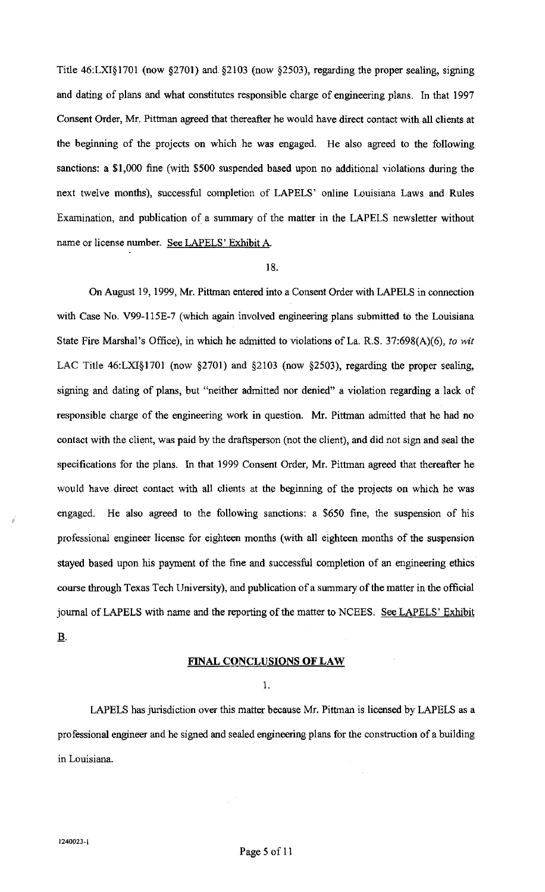Title 46:LXI§1701 (now §2701) and. §2103 (now §2503), regarding the proper sealing, signing and dating of plans and what constitutes responsible charge of engineering plans. In that 1997 Consent Order, Mr. Pittman agreed that thereafter he would have direct contact with all clients at the beginning of the projects on which he was engaged. He also agreed to the following sanctions: a \$1,000 fine (with \$500 suspended based upon no additional violations during the next twelve months), successful completion of LAPELS' online Louisiana Laws and Rules Examination, and publication of a summary of the matter in the LAPELS newsletter without name or license number. See LAPELS' Exhibit A.

## 18.

On August 19, 1999, Mr. Pittman entered into a Consent Order with LAPELS in connection with Case No. V99-115E-7 (which again involved engineering plans submitted to the Louisiana State Fire Marshal's Office), in which he admitted to violations of La. R.S. 37:698(A)(6), *to wit*  LAC Title 46:LXI§1701 (now §2701) and §2103 (now §2503), regarding the proper sealing, signing and dating of plans, but "neither admitted nor denied" a violation regarding a lack of responsible charge of the engineering work in question. Mr. Pittman admitted that he had no contact with the client, was paid by the draftsperson (not the client), and did not sign and seal the specifications for the plans. In that 1999 Consent Order, Mr. Pittman agreed that thereafter he would have direct contact with all clients at the beginning of the projects on which he was engaged. He also agreed to the following sanctions: a \$650 fine, the suspension of his professional engineer license for eighteen months (with all eighteen months of the suspension stayed based upon his payment of the fine and successful completion of an engineering ethics course through Texas Tech University), and publication of a summary of the matter in the official journal of LAPELS with name and the reporting of the matter to NCEES. See LAPELS' Exhibit B.

## FINAL CONCLUSIONS OF LAW

I.

LAPELS has jurisdiction over this matter because Mr. Pittman is licensed by LAPELS as a professional engineer and he signed and sealed engineering plans for the construction of a building in Louisiana.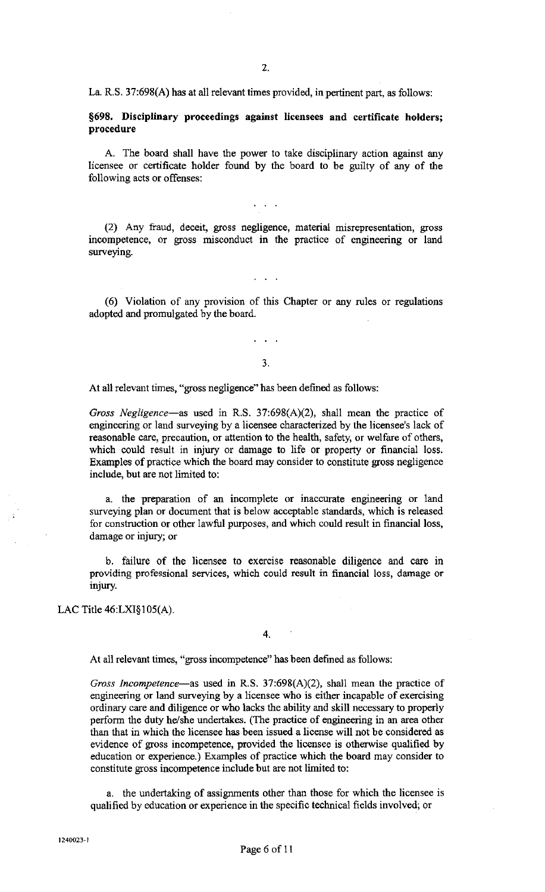La. R.S. 37:698(A) has at all relevant times provided, in pertinent part, as follows:

## §698. Disciplinary proceedings against licensees and certificate holders; procedure

A. The board shall have the power to take disciplinary action against any licensee or certificate holder found by the board to be guilty of any of the following acts or offenses:

 $\mathbf{L} = \mathbf{L} \times \mathbf{R}$ 

(2) Any fraud, deceit, gross negligence, material misrepresentation, gross incompetence, or gross misconduct in the practice of engineering or land surveying.

( 6) Violation of any provision of this Chapter or any rules or regulations adopted and promulgated by the board.

3.

 $\ddot{\phantom{a}}$ 

At all relevant times, "gross negligence" has been defined as follows:

*Gross Negligence-as* used in R.S. 37:698(A)(2), shall mean the practice of engineering or land surveying by a licensee characterized by the licensee's lack of reasonable care, precaution, or attention to the health, safety, or welfare of others, which could result in injury or damage to life or property or financial loss. Examples of practice which the board may consider to constitute gross negligence include, but are not limited to:

a. the preparation of an incomplete or inaccurate engineering or land surveying plan or document that is below acceptable standards, which is released for construction or other lawful purposes, and which could result in financial loss, damage or injury; or

b. failure of the licensee to exercise reasonable diligence and care in providing professional services, which could result in financial loss, damage or injury.

LAC Title 46:LX1§105(A).

At all relevant times, "gross incompetence" has been defined as follows:

*Gross Incompetence-as* used in R.S. 37:698(A)(2), shall mean the practice of engineering or land surveying by a licensee who is either incapable of exercising ordinary care and diligence or who lacks the ability and skill necessary to properly perform the duty he/she undertakes. (The practice of engineering in an area other than that in which the licensee has been issued a license will not be considered as evidence of gross incompetence, provided the licensee is otherwise qualified by education or experience.) Examples of practice which the board may consider to constitute gross incompetence include but are not limited to:

a. the undertaking of assignments other than those for which the licensee is qualified by education or experience in the specific technical fields involved; or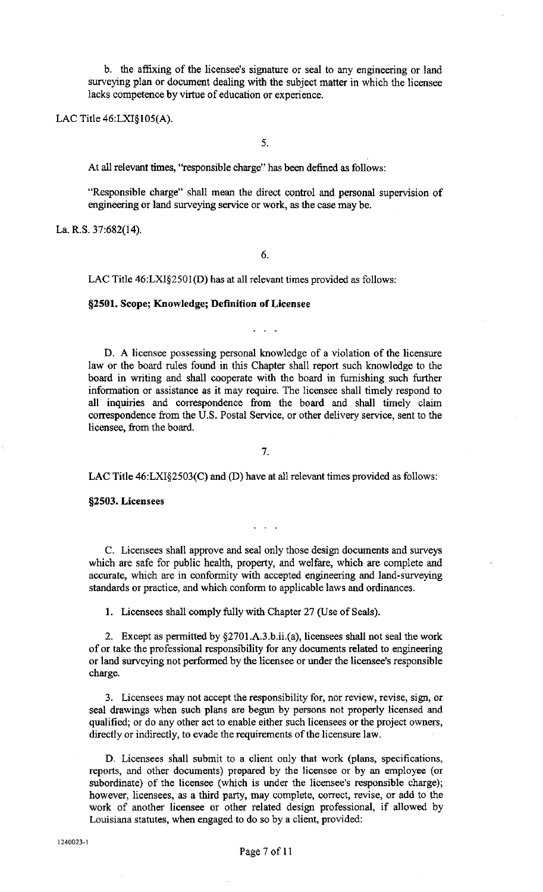b. the affixing of the licensee's signature or seal to any engineering or land surveying plan or document dealing with the subject matter in which the licensee lacks competence by virtue of education or experience.

LAC Title 46:LXI§105(A).

5.

At all relevant times, "responsible charge" has been defined as follows:

"Responsible charge" shall mean the direct control and personal supervision of engineering or land surveying service or work, as the case may be.

La. R.S. 37:682(14).

6.

LAC Title 46:LXI§2501(D) has at all relevant times provided as follows:

### §2501. Scope; Knowledge; Definition of Licensee

D. A licensee possessing personal knowledge of a violation of the licensure law or the board rules found in this Chapter shall report such knowledge to the board in writing and shall cooperate with the board in furnishing such further information or assistance as it may require. The licensee shall timely respond to all inquiries and correspondence from the board and shall timely claim correspondence from the U.S. Postal Service, or other delivery service, sent to the licensee, from the board.

7.

LAC Title 46:LXI§2503(C) and (D) have at all relevant times provided as follows:

§2503. Licensees

C. Licensees shall approve and seal only those design documents and surveys which are safe for public health, property, and welfare, which are complete and accurate, which are in conformity with accepted engineering and land-surveying standards or practice, and which conform to applicable laws and ordinances.

1. Licensees shall comply fully with Chapter 27 (Use of Seals).

2. Except as permitted by §2701.A.3.b.ii.(a), licensees shall not seal the work of or take the professional responsibility for any documents related to engineering or land surveying not performed by the licensee or under the licensee's responsible charge.

3. Licensees may not accept the responsibility for, nor review, revise, sign, or seal drawings when such plans are begun by persons not properly licensed and qualified; or do any other act to enable either such licensees or the project owners, directly or indirectly, to evade the requirements of the licensure law.

D. Licensees shall submit to a client only that work (plans, specifications, reports, and other documents) prepared by the licensee or by an employee (or subordinate) of the licensee (which is under the licensee's responsible charge); however, licensees, as a third party, may complete, correct, revise, or add to the work of another licensee or other related design professional, if allowed by Louisiana statutes, when engaged to do so by a client, provided: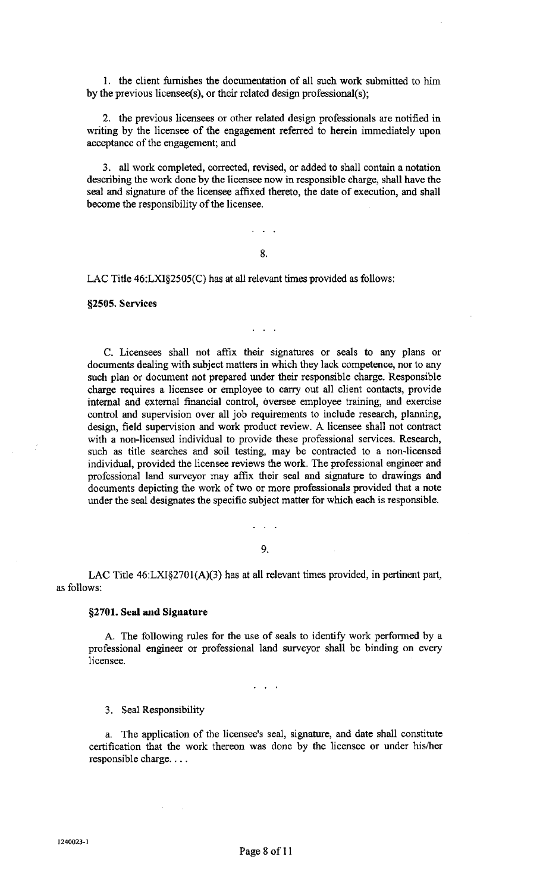I. the client furnishes the documentation of all such work submitted to him by the previous licensee(s), or their related design professional(s);

2. the previous licensees or other related design professionals are notified in writing by the licensee of the engagement referred to herein immediately upon acceptance of the engagement; and

3. all work completed, corrected, revised, or added to shall contain a notation describing the work done by the licensee now in responsible charge, shall have the seal and signature of the licensee affixed thereto, the date of execution, and shall become the responsibility of the licensee.

8.

 $\mathbf{1}$  and  $\mathbf{1}$ 

 $\mathcal{L}$ 

LAC Title 46:LXI§2505(C) has at all relevant times provided as follows:

§2505. Services

C. Licensees shall not affix: their signatures or seals to any plans or documents dealing with subject matters in which they lack competence, nor to any such plan or document not prepared under their responsible charge. Responsible charge requires a licensee or employee to carry out all client contacts, provide internal and external financial control, oversee employee training, and exercise control and supervision over all job requirements to include research, planning, design, field supervision and work product review. A licensee shall not contract with a non-licensed individual to provide these professional services. Research, such as title searches and soil testing, may be contracted to a non-licensed individual, provided the licensee reviews the work. The professional engineer and professional land surveyor may affix their seal and signature to drawings and documents depicting the work of two or more professionals provided that a note under the seal designates the specific subject matter for which each is responsible.

9.

LAC Title  $46: LXI§2701(A)(3)$  has at all relevant times provided, in pertinent part, as follows:

#### §2701. Seal and Signature

A. The following rules for the use of seals to identify work performed by a professional engineer or professional land surveyor shall be binding on every licensee.

 $\sqrt{2}$ 

### 3. Seal Responsibility

a. The application of the licensee's seal, signature, and date shall constitute certification that the work thereon was done by the licensee or under his/her responsible charge....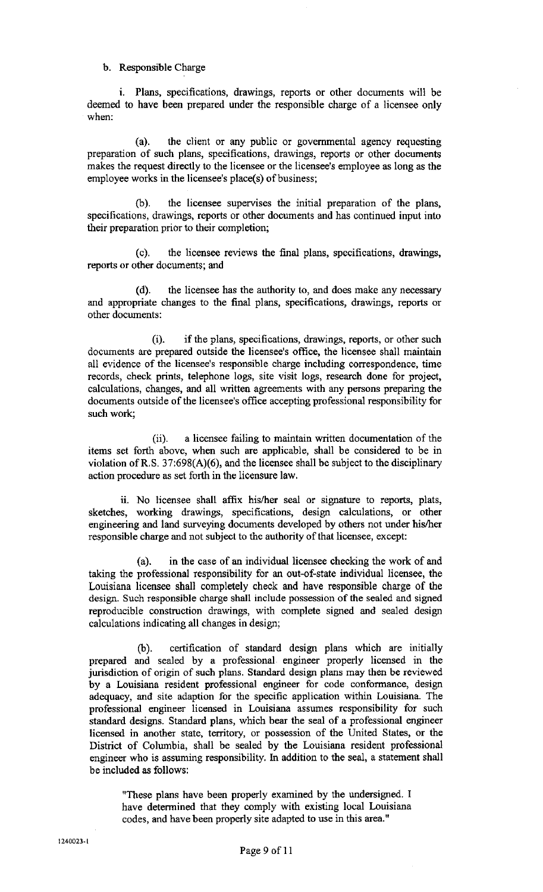b. Responsible Charge

i. Plans, specifications, drawings, reports or other documents will be deemed to have been prepared under the responsible charge of a licensee only when:

(a). the client or any public or governmental agency requesting preparation of such plans, specifications, drawings, reports or other documents makes the request directly to the licensee or the licensee's employee as long as the employee works in the licensee's place(s) of business;

(b). the licensee supervises the initial preparation of the plans, specifications, drawings, reports or other documents and has continued input into their preparation prior to their completion;

(c). the licensee reviews the final plans, specifications, drawings, reports or other documents; and

(d). the licensee has the authority to, and does make any necessary and appropriate changes to the final plans, specifications, drawings, reports or other documents:

(i). if the plans, specifications, drawings, reports, or other such documents are prepared outside the licensee's office, the licensee shall maintain all evidence of the licensee's responsible charge including correspondence, time records, check prints, telephone logs, site visit logs, research done for project, calculations, changes, and all written agreements with any persons preparing the documents outside of the licensee's office accepting professional responsibility for such work;

(ii). a licensee failing to maintain written documentation of the items set forth above, when such are applicable, shall be considered to be in violation ofR.S. 37:698(A)(6), and the licensee shall be subject to the disciplinary action procedure as set forth in the licensure law.

ii. No licensee shall affix his/her seal or signature to reports, plats, sketches, working drawings, specifications, design calculations, or other engineering and land surveying documents developed by others not under his/her responsible charge and not subject to the authority of that licensee, except:

(a). in the case of an individual licensee checking the work of and taking the professional responsibility for an out-of-state individual licensee, the Louisiana licensee shall completely check and have responsible charge of the design. Such responsible charge shall include possession of the sealed and signed reproducible construction drawings, with complete signed and sealed design calculations indicating all changes in design;

(b). certification of standard design plans which are initially prepared and sealed by a professional engineer properly licensed in the jurisdiction of origin of such plans. Standard design plans may then be reviewed by a Louisiana resident professional engineer for code conformance, design adequacy, and site adaption for the specific application within Louisiana. The professional engineer licensed in Louisiana assumes responsibility for such standard designs. Standard plans, which bear the seal of a professional engineer licensed in another state, territory, or possession of the United States, or the District of Columbia, shall be sealed by the Louisiana resident professional engineer who is assuming responsibility. In addition to the seal, a statement shall be included as follows:

"These plans have been properly examined by the undersigned. I have determined that they comply with existing local Louisiana codes, and have been properly site adapted to use in this area."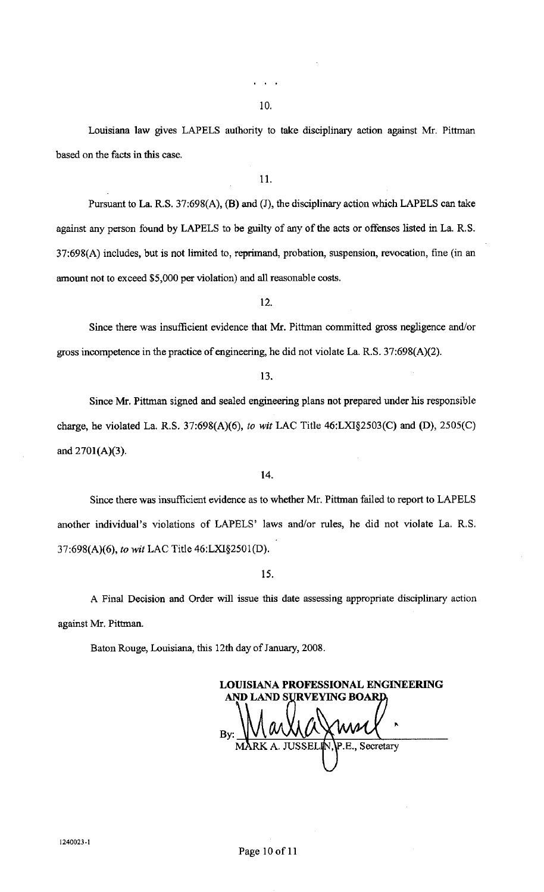Louisiana law gives LAPELS authority to take disciplinary action against Mr. Pittman based on the facts in this case.

11.

Pursuant to La. R.S. 37:698(A), (B) and (J), the disciplinary action which LAPELS can take against any person found by LAPELS to be guilty of any of the acts or offenses listed in La. R.S. 37:698(A) includes, but is not limited to, reprimand, probation, suspension, revocation, fine (in an amount not to exceed \$5,000 per violation) and all reasonable costs.

12.

Since there was insufficient evidence that Mr. Pittman committed gross negligence and/or gross incompetence in the practice of engineering, he did not violate La. R.S. 37:698(A)(2).

Since Mr. Pittman signed and sealed engineering plans not prepared under his responsible charge, he violated La. R.S. 37:698(A)(6), *to wit* LAC Title 46:LXI§2503(C) and (D), 2505(C) and 270l(A)(3).

14.

Since there was insufficient evidence as to whether Mr. Pittman failed to report to LAPELS another individual's violations of LAPELS' laws and/or rules, he did not violate La. R.S. 37:698(A)(6), *to wit* LAC Title 46:LXI§250l(D).

15.

A Final Decision and Order will issue this date assessing appropriate disciplinary action against Mr. Pittman.

Baton Rouge, Louisiana, this 12th day of January, 2008.

**LOUISIANA PROFESSIONAL ENGINEERING** AND LAND SURVEYING BOARI Secretary **ISSE**  $P F$ 

<sup>13.</sup>